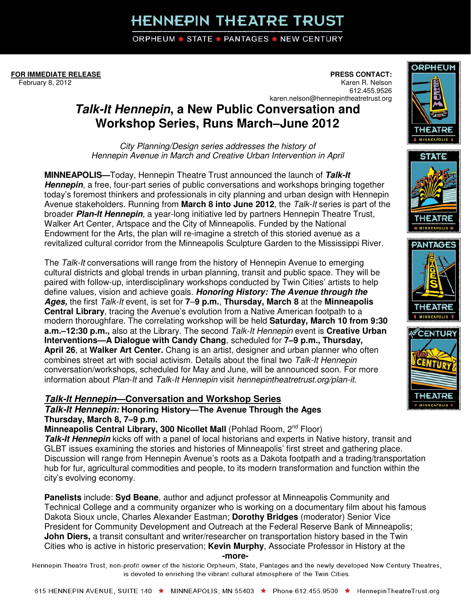# **HENNEPIN THEATRE TRUST**

**ORPHEUM ★ STATE ★ PANTAGES ★ NEW CENTURY** 

**FOR IMMEDIATE RELEASE** February 8, 2012

**PRESS CONTACT:**  Karen R. Nelson 612.455.9526 karen.nelson@hennepintheatretrust.org

## **Talk-It Hennepin, a New Public Conversation and Workshop Series, Runs March–June 2012**

City Planning/Design series addresses the history of Hennepin Avenue in March and Creative Urban Intervention in April

**MINNEAPOLIS—**Today, Hennepin Theatre Trust announced the launch of **Talk-It Hennepin**, a free, four-part series of public conversations and workshops bringing together today's foremost thinkers and professionals in city planning and urban design with Hennepin Avenue stakeholders. Running from **March 8 into June 2012**, the Talk-It series is part of the broader **Plan-It Hennepin**, a year-long initiative led by partners Hennepin Theatre Trust, Walker Art Center, Artspace and the City of Minneapolis. Funded by the National Endowment for the Arts, the plan will re-imagine a stretch of this storied avenue as a revitalized cultural corridor from the Minneapolis Sculpture Garden to the Mississippi River.

The Talk-It conversations will range from the history of Hennepin Avenue to emerging cultural districts and global trends in urban planning, transit and public space. They will be paired with follow-up, interdisciplinary workshops conducted by Twin Cities' artists to help define values, vision and achieve goals. **Honoring History: The Avenue through the Ages,** the first Talk-It event, is set for **7**–**9 p.m.**, **Thursday, March 8** at the **Minneapolis Central Library**, tracing the Avenue's evolution from a Native American footpath to a modern thoroughfare. The correlating workshop will be held **Saturday, March 10 from 9:30 a.m.–12:30 p.m.,** also at the Library. The second Talk-It Hennepin event is **Creative Urban Interventions—A Dialogue with Candy Chang**, scheduled for **7–9 p.m., Thursday, April 26**, at **Walker Art Center.** Chang is an artist, designer and urban planner who often combines street art with social activism. Details about the final two Talk-It Hennepin conversation/workshops, scheduled for May and June, will be announced soon. For more information about Plan-It and Talk-It Hennepin visit hennepintheatretrust.org/plan-it.

### **Talk-It Hennepin—Conversation and Workshop Series**

**Talk-It Hennepin: Honoring History—The Avenue Through the Ages Thursday, March 8, 7–9 p.m.** 

**Minneapolis Central Library, 300 Nicollet Mall (Pohlad Room, 2<sup>nd</sup> Floor)** 

**Talk-It Hennepin** kicks off with a panel of local historians and experts in Native history, transit and GLBT issues examining the stories and histories of Minneapolis' first street and gathering place. Discussion will range from Hennepin Avenue's roots as a Dakota footpath and a trading/transportation hub for fur, agricultural commodities and people, to its modern transformation and function within the city's evolving economy.

**Panelists** include: **Syd Beane**, author and adjunct professor at Minneapolis Community and Technical College and a community organizer who is working on a documentary film about his famous Dakota Sioux uncle, Charles Alexander Eastman; **Dorothy Bridges** (moderator) Senior Vice President for Community Development and Outreach at the Federal Reserve Bank of Minneapolis; **John Diers,** a transit consultant and writer/researcher on transportation history based in the Twin Cities who is active in historic preservation; **Kevin Murphy**, Associate Professor in History at the

#### **-more-**

Hennepin Theatre Trust, non-profit owner of the historic Orpheum, State, Pantages and the newly developed New Century Theatres, is devoted to enriching the vibrant cultural atmosphere of the Twin Cities.